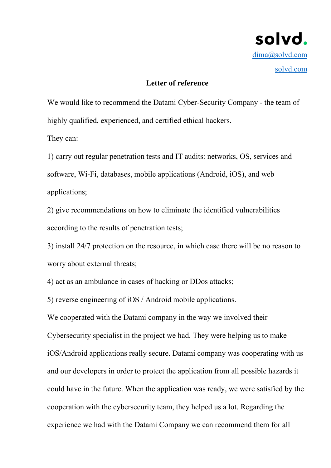

## **Letter of reference**

We would like to recommend the Datami Cyber-Security Company - the team of highly qualified, experienced, and certified ethical hackers.

They can:

1) carry out regular penetration tests and IT audits: networks, OS, services and software, Wi-Fi, databases, mobile applications (Android, iOS), and web applications;

2) give recommendations on how to eliminate the identified vulnerabilities according to the results of penetration tests;

3) install 24/7 protection on the resource, in which case there will be no reason to worry about external threats;

4) act as an ambulance in cases of hacking or DDos attacks;

5) reverse engineering of iOS / Android mobile applications.

We cooperated with the Datami company in the way we involved their

Cybersecurity specialist in the project we had. They were helping us to make iOS/Android applications really secure. Datami company was cooperating with us and our developers in order to protect the application from all possible hazards it could have in the future. When the application was ready, we were satisfied by the cooperation with the cybersecurity team, they helped us a lot. Regarding the experience we had with the Datami Company we can recommend them for all